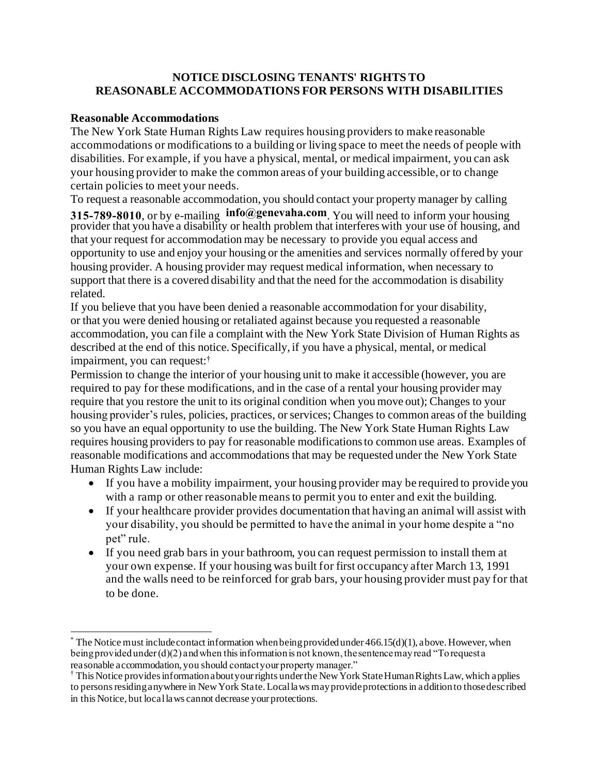## **NOTICE DISCLOSING TENANTS' RIGHTS TO REASONABLE ACCOMMODATIONS FOR PERSONS WITH DISABILITIES**

## **Reasonable Accommodations**

The New York State Human Rights Law requires housing providers to make reasonable accommodations or modifications to a building or living space to meet the needs of people with disabilities. For example, if you have a physical, mental, or medical impairment, you can ask your housing provider to make the common areas of your building accessible, or to change certain policies to meet your needs.

To request a reasonable accommodation, you should contact your property manager by calling

**315-789-8010**, or by e-mailing **info@genevaha.com**. You will need to inform your housing provider that you have a disability or health problem that interferes with your use of housing, and that your request for accommodation may be necessary to provide you equal access and opportunity to use and enjoy your housing or the amenities and services normally offered by your housing provider. A housing provider may request medical information, when necessary to support that there is a covered disability and that the need for the accommodation is disability related.

If you believe that you have been denied a reasonable accommodation for your disability, or that you were denied housing or retaliated against because you requested a reasonable accommodation, you can file a complaint with the New York State Division of Human Rights as described at the end of this notice. Specifically, if you have a physical, mental, or medical impairment, you can request:†

Permission to change the interior of your housing unit to make it accessible (however, you are required to pay for these modifications, and in the case of a rental your housing provider may require that you restore the unit to its original condition when you move out); Changes to your housing provider's rules, policies, practices, or services; Changes to common areas of the building so you have an equal opportunity to use the building. The New York State Human Rights Law requires housing providers to pay for reasonable modifications to common use areas. Examples of reasonable modifications and accommodations that may be requested under the New York State Human Rights Law include:

- If you have a mobility impairment, your housing provider may be required to provide you with a ramp or other reasonable means to permit you to enter and exit the building.
- If your healthcare provider provides documentation that having an animal will assist with your disability, you should be permitted to have the animal in your home despite a "no pet" rule.
- If you need grab bars in your bathroom, you can request permission to install them at your own expense. If your housing was built for first occupancy after March 13, 1991 and the walls need to be reinforced for grab bars, your housing provider must pay for that to be done.

 $*$  The Notice must include contact information when being provided under 466.15(d)(1), above. However, when being provided under (d)(2) and when this information is not known, the sentence may read "To request a reasonable accommodation, you should contact your property manager."

<sup>&</sup>lt;sup>†</sup> This Notice provides information a bout your rights under the New York State Human Rights Law, which applies to persons residing anywhere in New York State. Local laws may provide protections in addition to those described in this Notice, but local laws cannot decrease your protections.